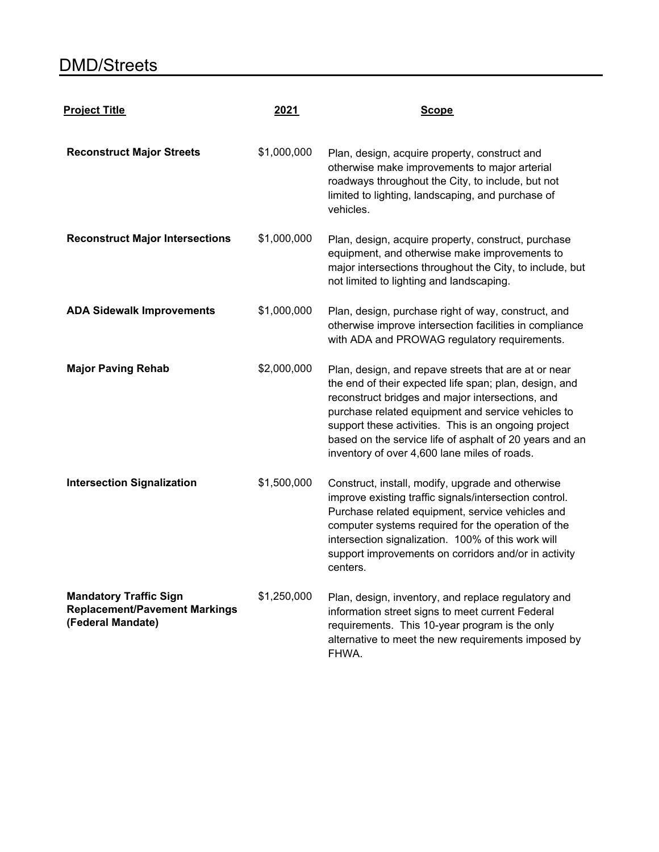## DMD/Streets

| <b>Project Title</b>                                                                       | 2021        | <b>Scope</b>                                                                                                                                                                                                                                                                                                                                                                                |
|--------------------------------------------------------------------------------------------|-------------|---------------------------------------------------------------------------------------------------------------------------------------------------------------------------------------------------------------------------------------------------------------------------------------------------------------------------------------------------------------------------------------------|
| <b>Reconstruct Major Streets</b>                                                           | \$1,000,000 | Plan, design, acquire property, construct and<br>otherwise make improvements to major arterial<br>roadways throughout the City, to include, but not<br>limited to lighting, landscaping, and purchase of<br>vehicles.                                                                                                                                                                       |
| <b>Reconstruct Major Intersections</b>                                                     | \$1,000,000 | Plan, design, acquire property, construct, purchase<br>equipment, and otherwise make improvements to<br>major intersections throughout the City, to include, but<br>not limited to lighting and landscaping.                                                                                                                                                                                |
| <b>ADA Sidewalk Improvements</b>                                                           | \$1,000,000 | Plan, design, purchase right of way, construct, and<br>otherwise improve intersection facilities in compliance<br>with ADA and PROWAG regulatory requirements.                                                                                                                                                                                                                              |
| <b>Major Paving Rehab</b>                                                                  | \$2,000,000 | Plan, design, and repave streets that are at or near<br>the end of their expected life span; plan, design, and<br>reconstruct bridges and major intersections, and<br>purchase related equipment and service vehicles to<br>support these activities. This is an ongoing project<br>based on the service life of asphalt of 20 years and an<br>inventory of over 4,600 lane miles of roads. |
| <b>Intersection Signalization</b>                                                          | \$1,500,000 | Construct, install, modify, upgrade and otherwise<br>improve existing traffic signals/intersection control.<br>Purchase related equipment, service vehicles and<br>computer systems required for the operation of the<br>intersection signalization. 100% of this work will<br>support improvements on corridors and/or in activity<br>centers.                                             |
| <b>Mandatory Traffic Sign</b><br><b>Replacement/Pavement Markings</b><br>(Federal Mandate) | \$1,250,000 | Plan, design, inventory, and replace regulatory and<br>information street signs to meet current Federal<br>requirements. This 10-year program is the only<br>alternative to meet the new requirements imposed by<br>FHWA.                                                                                                                                                                   |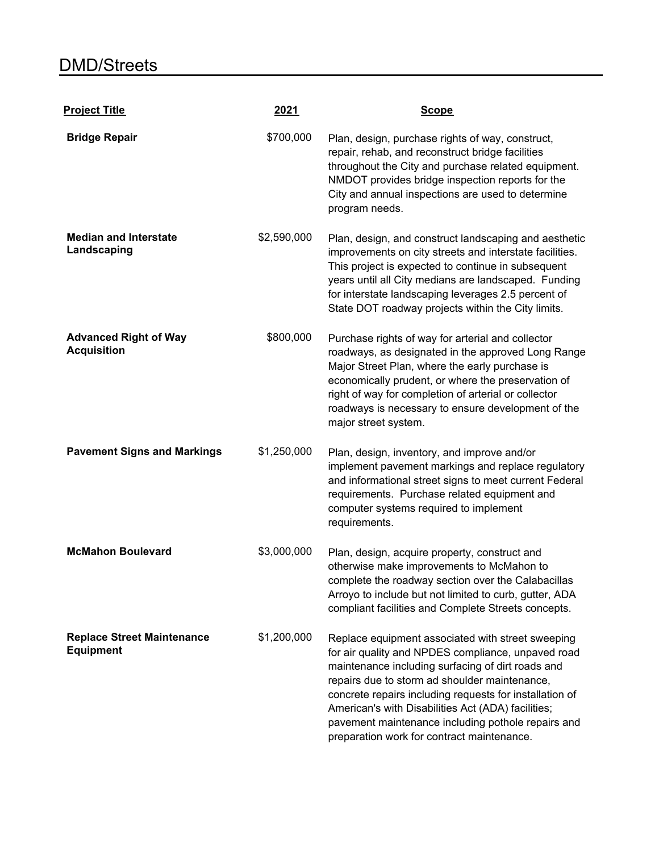| <b>Project Title</b>                                  | 2021        | <b>Scope</b>                                                                                                                                                                                                                                                                                                                                                                                                                       |
|-------------------------------------------------------|-------------|------------------------------------------------------------------------------------------------------------------------------------------------------------------------------------------------------------------------------------------------------------------------------------------------------------------------------------------------------------------------------------------------------------------------------------|
| <b>Bridge Repair</b>                                  | \$700,000   | Plan, design, purchase rights of way, construct,<br>repair, rehab, and reconstruct bridge facilities<br>throughout the City and purchase related equipment.<br>NMDOT provides bridge inspection reports for the<br>City and annual inspections are used to determine<br>program needs.                                                                                                                                             |
| <b>Median and Interstate</b><br>Landscaping           | \$2,590,000 | Plan, design, and construct landscaping and aesthetic<br>improvements on city streets and interstate facilities.<br>This project is expected to continue in subsequent<br>years until all City medians are landscaped. Funding<br>for interstate landscaping leverages 2.5 percent of<br>State DOT roadway projects within the City limits.                                                                                        |
| <b>Advanced Right of Way</b><br><b>Acquisition</b>    | \$800,000   | Purchase rights of way for arterial and collector<br>roadways, as designated in the approved Long Range<br>Major Street Plan, where the early purchase is<br>economically prudent, or where the preservation of<br>right of way for completion of arterial or collector<br>roadways is necessary to ensure development of the<br>major street system.                                                                              |
| <b>Pavement Signs and Markings</b>                    | \$1,250,000 | Plan, design, inventory, and improve and/or<br>implement pavement markings and replace regulatory<br>and informational street signs to meet current Federal<br>requirements. Purchase related equipment and<br>computer systems required to implement<br>requirements.                                                                                                                                                             |
| <b>McMahon Boulevard</b>                              | \$3,000,000 | Plan, design, acquire property, construct and<br>otherwise make improvements to McMahon to<br>complete the roadway section over the Calabacillas<br>Arroyo to include but not limited to curb, gutter, ADA<br>compliant facilities and Complete Streets concepts.                                                                                                                                                                  |
| <b>Replace Street Maintenance</b><br><b>Equipment</b> | \$1,200,000 | Replace equipment associated with street sweeping<br>for air quality and NPDES compliance, unpaved road<br>maintenance including surfacing of dirt roads and<br>repairs due to storm ad shoulder maintenance,<br>concrete repairs including requests for installation of<br>American's with Disabilities Act (ADA) facilities;<br>pavement maintenance including pothole repairs and<br>preparation work for contract maintenance. |